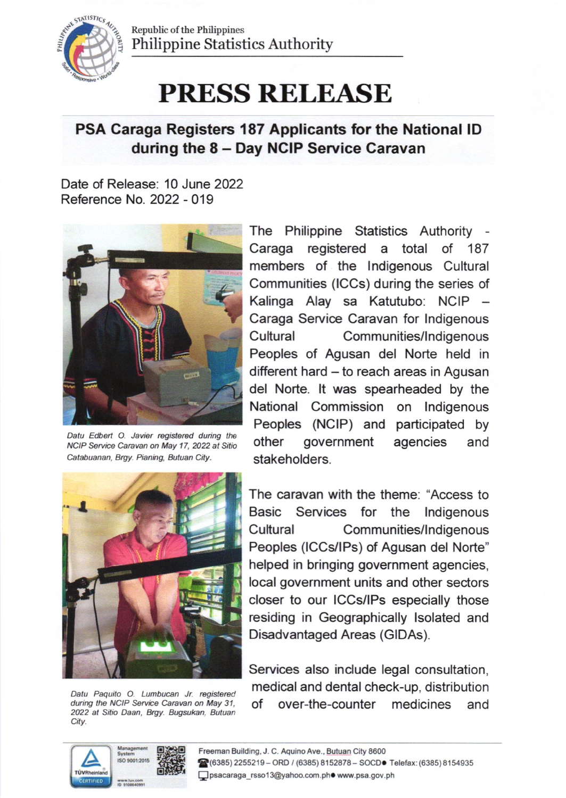

Republic of the Philippines Philippine Statistics Authority

## PRESS RELEASE

## PSA Caraga Registers 187 Applicants for the National lD during the 8 - Day NCIP Service Caravan

Date of Release: 10 June 2022 Reference No. 2022 - 019



Datu Edbert O. Javier registered during the NCIP Service Caravan on May 17, 2022 at Sitio Catabuanan, Brgy. Pianing, Butuan City.

The Philippine Statistics Authority Caraga registered a total of <sup>187</sup> members of the lndigenous Cultural Communities (lCCs) during the series of Kalinga Alay sa Katutubo: NCIP Caraga Service Caravan for Indigenous Cultural Communities/Indigenous Peoples of Agusan del Norte held in different hard - to reach areas in Agusan del Norte. lt was spearheaded by the National Commission on lndigenous Peoples (NCIP) and participated by other government agencies and stakeholders.



Datu Paquito O. Lumbucan Jr. registered during the NCIP Service Caravan on May 31, 2022 at Sitio Daan, Brgy. Bugsukan, Butuan City.

The caravan with the theme. "Access to Basic Services for the lndigenous Cultural Communities/lndigenous Peoples (ICCs/IPs) of Agusan del Norte" helped in bringing government agencies, local government units and other sectors closer to our lCCs/lPs especially those residing in Geographically lsolated and Disadvantaged Areas (GlDAs).

Services also indude legal consultation, medical and dental check-up, distribution of over-the-counter medicines and